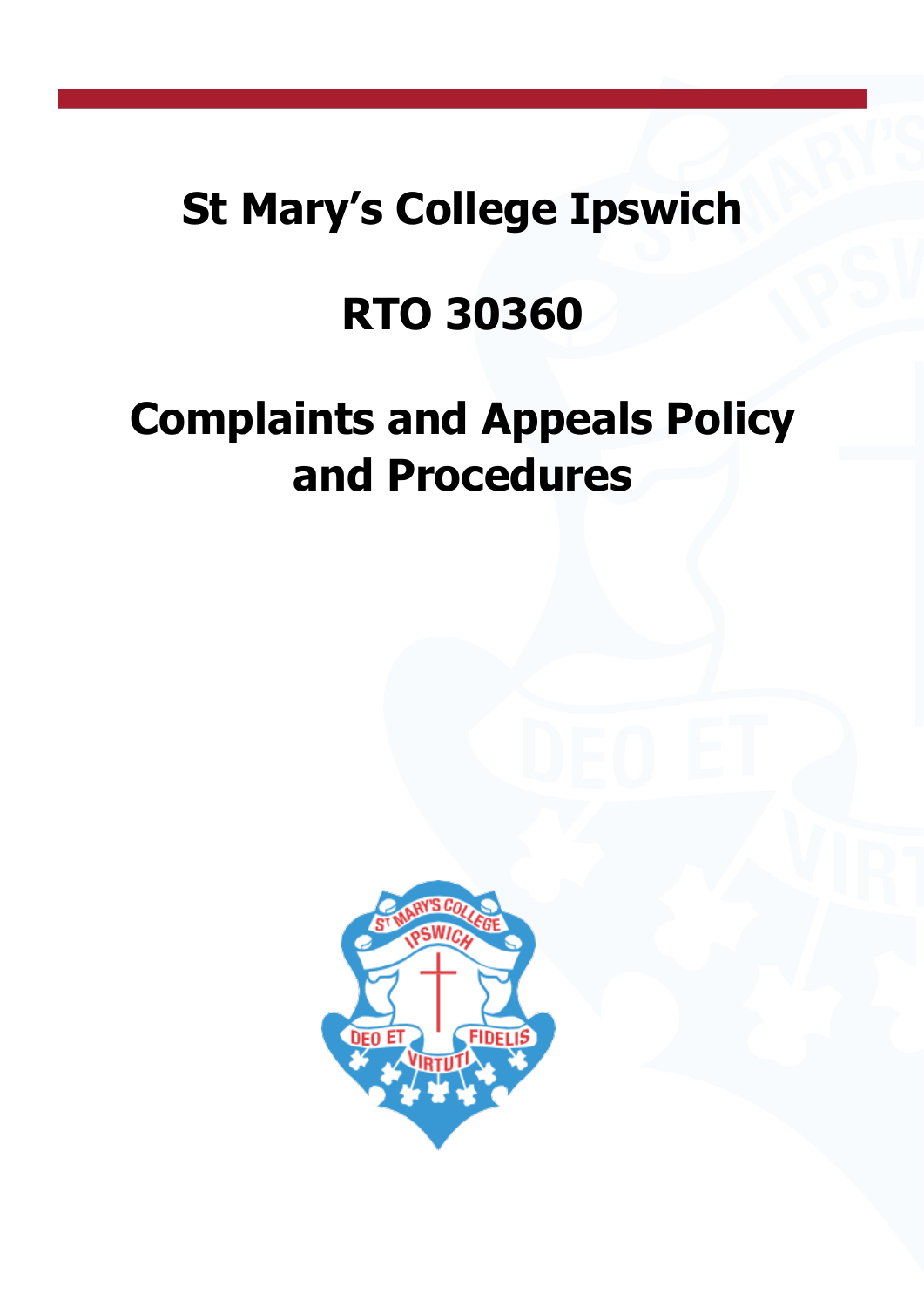## **St Mary's College Ipswich**

## **RTO 30360**

# **Complaints and Appeals Policy and Procedures**

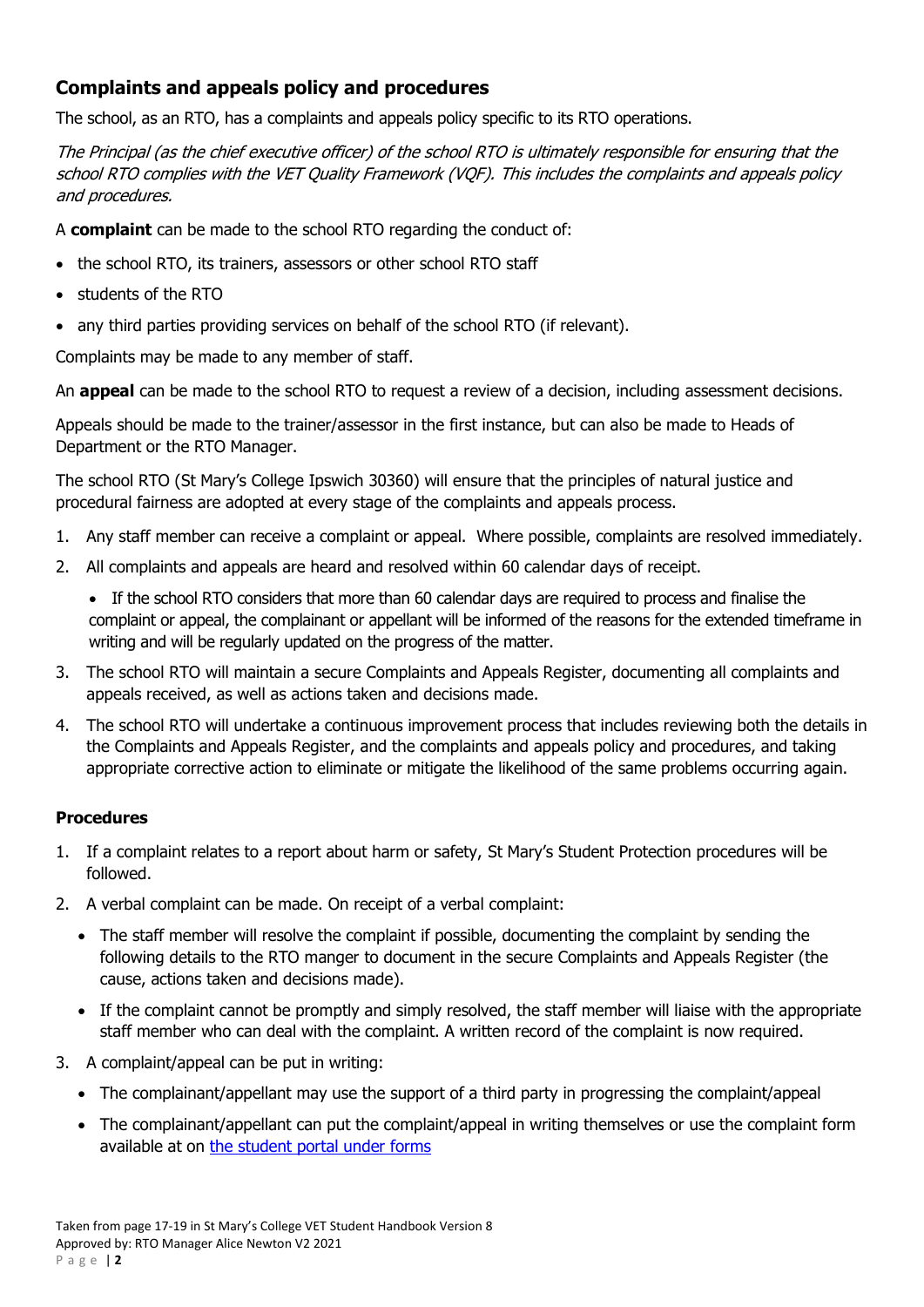### **Complaints and appeals policy and procedures**

The school, as an RTO, has a complaints and appeals policy specific to its RTO operations.

The Principal (as the chief executive officer) of the school RTO is ultimately responsible for ensuring that the school RTO complies with the VET Quality Framework (VQF). This includes the complaints and appeals policy and procedures.

A **complaint** can be made to the school RTO regarding the conduct of:

- the school RTO, its trainers, assessors or other school RTO staff
- students of the RTO
- any third parties providing services on behalf of the school RTO (if relevant).

Complaints may be made to any member of staff.

An **appeal** can be made to the school RTO to request a review of a decision, including assessment decisions.

Appeals should be made to the trainer/assessor in the first instance, but can also be made to Heads of Department or the RTO Manager.

The school RTO (St Mary's College Ipswich 30360) will ensure that the principles of natural justice and procedural fairness are adopted at every stage of the complaints and appeals process.

- 1. Any staff member can receive a complaint or appeal. Where possible, complaints are resolved immediately.
- 2. All complaints and appeals are heard and resolved within 60 calendar days of receipt.

• If the school RTO considers that more than 60 calendar days are required to process and finalise the complaint or appeal, the complainant or appellant will be informed of the reasons for the extended timeframe in writing and will be regularly updated on the progress of the matter.

- 3. The school RTO will maintain a secure Complaints and Appeals Register, documenting all complaints and appeals received, as well as actions taken and decisions made.
- 4. The school RTO will undertake a continuous improvement process that includes reviewing both the details in the Complaints and Appeals Register, and the complaints and appeals policy and procedures, and taking appropriate corrective action to eliminate or mitigate the likelihood of the same problems occurring again.

#### **Procedures**

- 1. If a complaint relates to a report about harm or safety, St Mary's Student Protection procedures will be followed.
- 2. A verbal complaint can be made. On receipt of a verbal complaint:
	- The staff member will resolve the complaint if possible, documenting the complaint by sending the following details to the RTO manger to document in the secure Complaints and Appeals Register (the cause, actions taken and decisions made).
	- If the complaint cannot be promptly and simply resolved, the staff member will liaise with the appropriate staff member who can deal with the complaint. A written record of the complaint is now required.
- 3. A complaint/appeal can be put in writing:
	- The complainant/appellant may use the support of a third party in progressing the complaint/appeal
	- The complainant/appellant can put the complaint/appeal in writing themselves or use the complaint form available at on [the student portal under forms](https://mybcecatholicedu.sharepoint.com/sites/sp-stmarys/student/Student%20Forms/Forms/AllItems.aspx?viewpath=%2Fsites%2Fsp-stmarys%2Fstudent%2FStudent%20Forms%2FForms%2FAllItems%2Easpx&id=%2Fsites%2Fsp-stmarys%2Fstudent%2FStudent%20Forms%2FVET%20and%20Pathways)